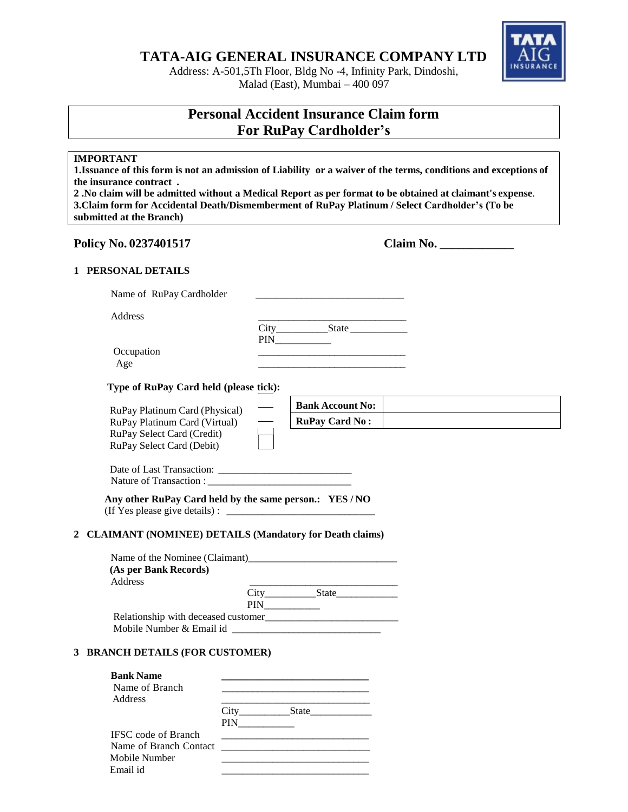**TATA-AIG GENERAL INSURANCE COMPANY LTD**

Address: A-501,5Th Floor, Bldg No -4, Infinity Park, Dindoshi, Malad (East), Mumbai – 400 097

# **Personal Accident Insurance Claim form For RuPay Cardholder's**

# **IMPORTANT**

1. Issuance of this form is not an admission of Liability or a waiver of the terms, conditions and exceptions of **the insurance contract .**

2. No claim will be admitted without a Medical Report as per format to be obtained at claimant's expense. **3.Claim form for Accidental Death/Dismemberment of RuPay Platinum / Select Cardholder's (To be submitted at the Branch)**

# **Policy No. 0237401517 Claim No. \_\_\_\_\_\_\_\_\_\_\_\_**

# **1 PERSONAL DETAILS**

| Name of RuPay Cardholder |               |
|--------------------------|---------------|
| Address                  |               |
|                          | City<br>State |
|                          | <b>PIN</b>    |
| Occupation               |               |
| Age                      |               |

**Type of RuPay Card held (please tick):**

| RuPay Platinum Card (Physical) |  |
|--------------------------------|--|
| RuPay Platinum Card (Virtual)  |  |
| RuPay Select Card (Credit)     |  |
| RuPay Select Card (Debit)      |  |

| <b>Bank Account No:</b> |  |
|-------------------------|--|
| <b>RuPay Card No:</b>   |  |

| Date of Last Transaction: |  |
|---------------------------|--|
| Nature of Transaction:    |  |

**Any other RuPay Card held by the same person.: YES / NO** (If Yes please give details) :  $\Box$ 

## **2 CLAIMANT (NOMINEE) DETAILS (Mandatory for Death claims)**

| Name of the Nominee (Claimant)       |      |       |  |
|--------------------------------------|------|-------|--|
| (As per Bank Records)                |      |       |  |
| Address                              |      |       |  |
|                                      | City | State |  |
|                                      | PIN  |       |  |
| Relationship with deceased customer_ |      |       |  |
| Mobile Number & Email id             |      |       |  |

## **3 BRANCH DETAILS (FOR CUSTOMER)**

| <b>Bank Name</b><br>Name of Branch<br>Address |            |               |
|-----------------------------------------------|------------|---------------|
|                                               | <b>PIN</b> | City<br>State |
| <b>IFSC</b> code of Branch                    |            |               |
| Name of Branch Contact                        |            |               |
| Mobile Number                                 |            |               |
| Email id                                      |            |               |